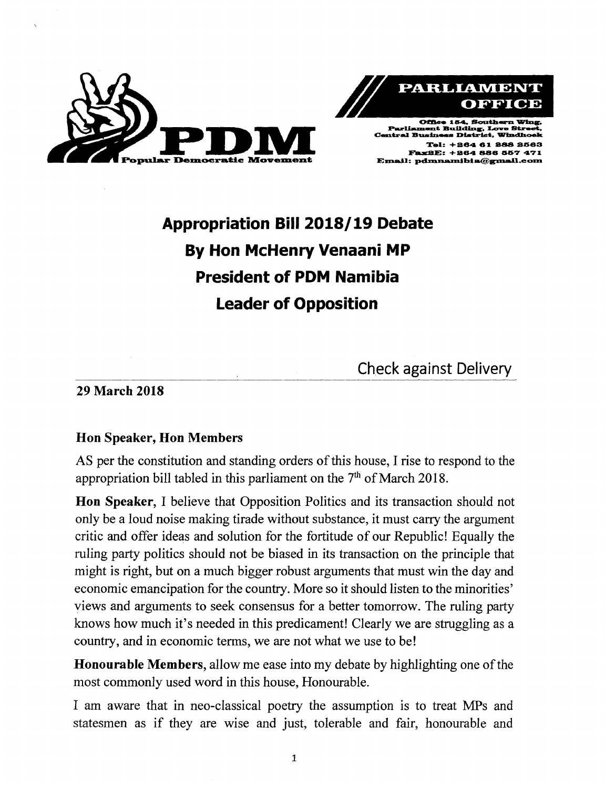



Tel: +864 61 888 81563 Fax2E: +264 886 557 471  $\bf E$ mail: pdmnamibia@gmail.com

# **Appropriation Bill 2018/19 Debate By Hon McHenry Venaani MP President of PDM Namibia Leader of Opposition**

Check against Delivery

29 March 2018

## Hon Speaker, Hon Members

AS per the constitution and standing orders of this house, I rise to respond to the appropriation bill tabled in this parliament on the  $7<sup>th</sup>$  of March 2018

Hon Speaker, I believe that Opposition Politics and its transaction should not only be a loud noise making tirade without substance, it must carry the argument critic and offer ideas and solution for the fortitude of our Republic! Equally the ruling party politics should not be biased in its transaction on the principle that might is right, but on a much bigger robust arguments that must win the day and economic emancipation for the country. More so it should listen to the minorities' views and arguments to seek consensus for a better tomorrow. The ruling party knows how much it's needed in this predicament! Clearly we are struggling as a country, and in economic terms, we are not what we use to be!

Honourable Members, allow me ease into my debate by highlighting one of the most commonly used word in this house, Honourable.

I am aware that in neo-classical poetry the assumption is to treat MPs and statesmen as if they are wise and just, tolerable and fair, honourable and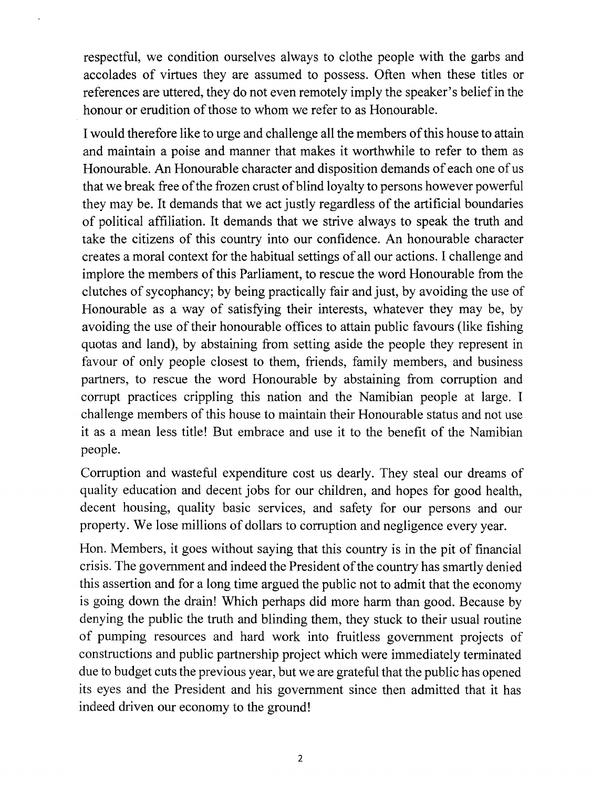respectful, we condition ourselves always to clothe people with the garbs and accolades of virtues they are assumed to possess. Often when these titles or references are uttered, they do not even remotely imply the speaker's belief in the honour or erudition of those to whom we refer to as Honourable.

I would therefore like to urge and challenge all the members of this house to attain and maintain a poise and manner that makes it worthwhile to refer to them as Honourable. An Honourable character and disposition demands of each one of us that we break free of the frozen crust of blind loyalty to persons however powerful they may be. It demands that we act justly regardless of the artificial boundaries of political affiliation. It demands that we strive always to speak the truth and take the citizens of this country into our confidence. An honourable character creates a moral context for the habitual settings of all our actions. I challenge and implore the members of this Parliament, to rescue the word Honourable from the clutches of sycophancy; by being practically fair and just, by avoiding the use of Honourable as a way of satisfying their interests, whatever they may be, by avoiding the use of their honourable offices to attain public favours (like fishing quotas and land), by abstaining from setting aside the people they represent in favour of only people closest to them, friends, family members, and business partners, to rescue the word Honourable by abstaining from corruption and corrupt practices crippling this nation and the Namibian people at large. I challenge members of this house to maintain their Honourable status and not use it as a mean less title! But embrace and use it to the benefit of the Namibian people.

Corruption and wasteful expenditure cost us dearly. They steal our dreams of quality education and decent jobs for our children, and hopes for good health, decent housing, quality basic services, and safety for our persons and our property. We lose millions of dollars to corruption and negligence every year.

Hon. Members, it goes without saying that this country is in the pit of financial crisis. The government and indeed the President of the country has smartly denied this assertion and for a long time argued the public not to admit that the economy is going down the drain! Which perhaps did more harm than good. Because by denying the public the truth and blinding them, they stuck to their usual routine of pumping resources and hard work into fruitless government projects of constructions and public partnership project which were immediately terminated due to budget cuts the previous year, but we are grateful that the public has opened its eyes and the President and his government since then admitted that it has indeed driven our economy to the ground!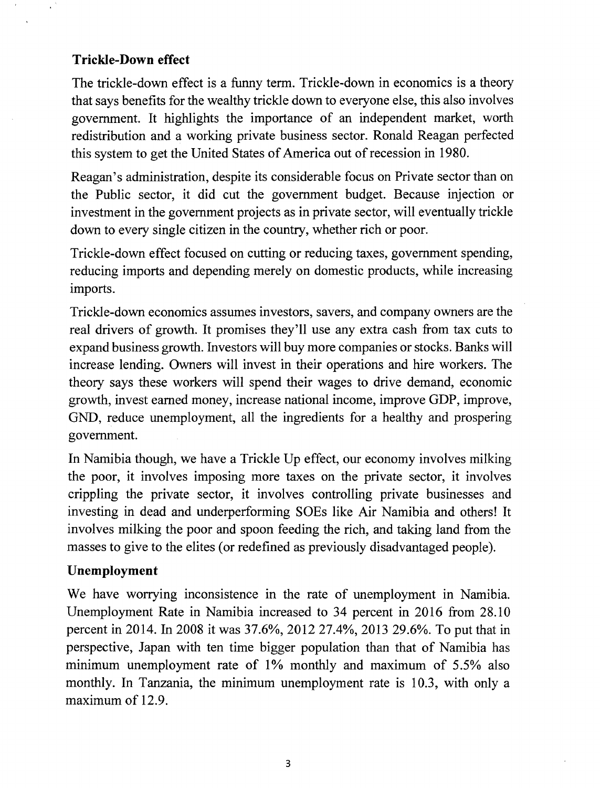#### **Trickle-Down effect**

The trickle-down effect is a funny term. Trickle-down in economics is a theory that says benefits for the wealthy trickle down to everyone else, this also involves government. It highlights the importance of an independent market, worth redistribution and a working private business sector. Ronald Reagan perfected this system to get the United States of America out of recession in 1980.

Reagan's administration, despite its considerable focus on Private sector than on the Public sector, it did cut the government budget. Because injection or investment in the government projects as in private sector, will eventually trickle down to every single citizen in the country, whether rich or poor.

Trickle-down effect focused on cutting or reducing taxes, government spending, reducing imports and depending merely on domestic products, while increasing imports.

Trickle-down economics assumes investors, savers, and company owners are the real drivers of growth. It promises they'll use any extra cash from tax cuts to expand business growth. Investors will buy more companies or stocks. Banks will increase lending. Owners will invest in their operations and hire workers. The theory says these workers will spend their wages to drive demand, economic growth, invest earned money, increase national income, improve GDP, improve, GND, reduce unemployment, all the ingredients for a healthy and prospering government.

In Namibia though, we have a Trickle Up effect, our economy involves milking the poor, it involves imposing more taxes on the private sector, it involves crippling the private sector, it involves controlling private businesses and investing in dead and underperforming SOEs like Air Namibia and others! It involves milking the poor and spoon feeding the rich, and taking land from the masses to give to the elites (or redefined as previously disadvantaged people).

#### **Unemployment**

We have worrying inconsistence in the rate of unemployment in Namibia. Unemployment Rate in Namibia increased to 34 percent in 2016 from 28.10 percent in 2014. In 2008 it was 37.6%, 2012 27.4%, 2013 29.6%. To put that in perspective, Japan with ten time bigger population than that of Namibia has minimum unemployment rate of 1% monthly and maximum of 5.5% also monthly. In Tanzania, the minimum unemployment rate is 10.3, with only a maximum of 12.9.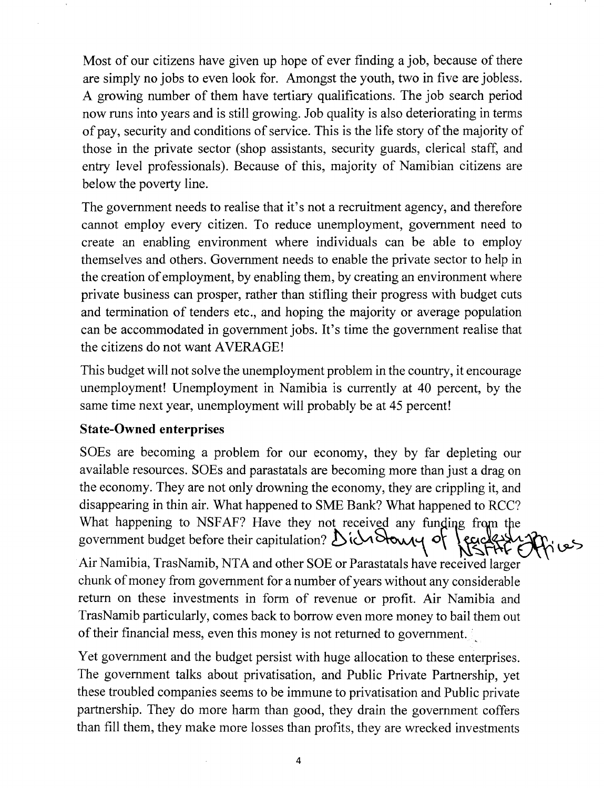Most of our citizens have given up hope of ever fmding a job, because of there are simply no jobs to even look for. Amongst the youth, two in five are jobless. A growing number of them have tertiary qualifications. The job search period now runs into years and is still growing. Job quality is also deteriorating in terms of pay, security and conditions of service. This is the life story of the majority of those in the private sector (shop assistants, security guards, clerical staff, and entry level professionals). Because of this, majority of Namibian citizens are below the poverty line.

The government needs to realise that it's not a recruitment agency, and therefore cannot employ every citizen. To reduce unemployment, government need to create an enabling environment where individuals can be able to employ themselves and others. Government needs to enable the private sector to help in the creation of employment, by enabling them, by creating an environment where private business can prosper, rather than stifling their progress with budget cuts and termination of tenders etc., and hoping the majority or average population can be accommodated in government jobs. It's time the government realise that the citizens do not want AVERAGE!

This budget will not solve the unemployment problem in the country, it encourage unemployment! Unemployment in Namibia is currently at 40 percent, by the same time next year, unemployment will probably be at 45 percent!

### **State-Owned enterprises**

SOEs are becoming a problem for our economy, they by far depleting our available resources. SOEs and parastatals are becoming more than just a drag on the economy. They are not only drowning the economy, they are crippling it, and disappearing in thin air. What happened to SME Bank? What happened to RCC? What happening to NSFAF? Have they not received any funding from the  $goverment$  budget before their capitulation?  $\mathcal{D}$  id  $\mathcal{D}$  of lead

Air Namibia, TrasNamib, NTA and other SOE or Parastatals have received larger chunk of money from government for a number of years without any considerable return on these investments in form of revenue or profit. Air Namibia and TrasNamib particularly, comes back to borrow even more money to bail them out of their financial mess, even this money is not returned to government.

Yet government and the budget persist with huge allocation to these enterprises. The government talks about privatisation, and Public Private Partnership, yet these troubled companies seems to be immune to privatisation and Public private partnership. They do more harm than good, they drain the government coffers than fill them, they make more losses than profits, they are wrecked investments

4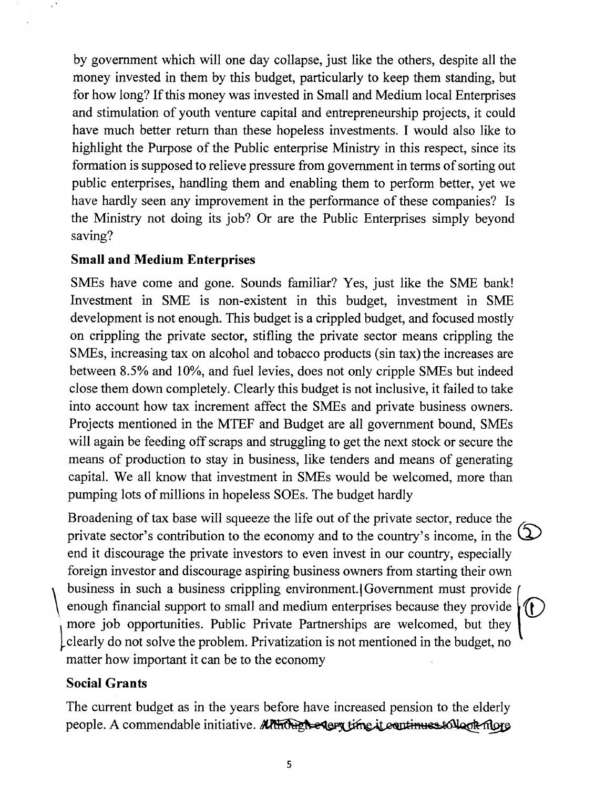by government which will one day collapse, just like the others, despite all the money invested in them by this budget, particularly to keep them standing, but for how long? If this money was invested in Small and Medium local Enterprises and stimulation of youth venture capital and entrepreneurship projects, it could have much better return than these hopeless investments. I would also like to highlight the Purpose of the Public enterprise Ministry in this respect, since its formation is supposed to relieve pressure from government in terms of sorting out public enterprises, handling them and enabling them to perform better, yet we have hardly seen any improvement in the performance of these companies? Is the Ministry not doing its job? Or are the Public Enterprises simply beyond saving?

#### **Small and Medium Enterprises**

SMEs have come and gone. Sounds familiar? Yes, just like the SME bank! Investment in SME is non-existent in this budget, investment in SME development is not enough. This budget is a crippled budget, and focused mostly on crippling the private sector, stifling the private sector means crippling the SMEs, increasing tax on alcohol and tobacco products (sin tax) the increases are between 8.5% and 10%, and fuel levies, does not only cripple SMEs but indeed close them down completely. Clearly this budget is not inclusive, it failed to take into account how tax increment affect the SMEs and private business owners. Projects mentioned in the MTEF and Budget are all government bound, SMEs will again be feeding off scraps and struggling to get the next stock or secure the means of production to stay in business, like tenders and means of generating capital. We all know that investment in SMEs would be welcomed, more than pumping lots of millions in hopeless SOEs. The budget hardly

Broadening of tax base will squeeze the life out of the private sector, reduce the private sector's contribution to the economy and to the country's income, in the **\,**... end it discourage the private investors to even invest in our country, especially foreign investor and discourage aspiring business owners from starting their own business in such a business crippling environment. Government must provide enough financial support to small and medium enterprises because they provide  $\left| \int \right|$ more job opportunities. Public Private Partnerships are welcomed, but they ~clearly do not solve the problem. Privatization is not mentioned in the budget, no matter how important it can be to the economy

#### **Social Grants**

The current budget as in the years before have increased pension to the elderly people. A commendable initiative. APHOHE recept time it continues to look more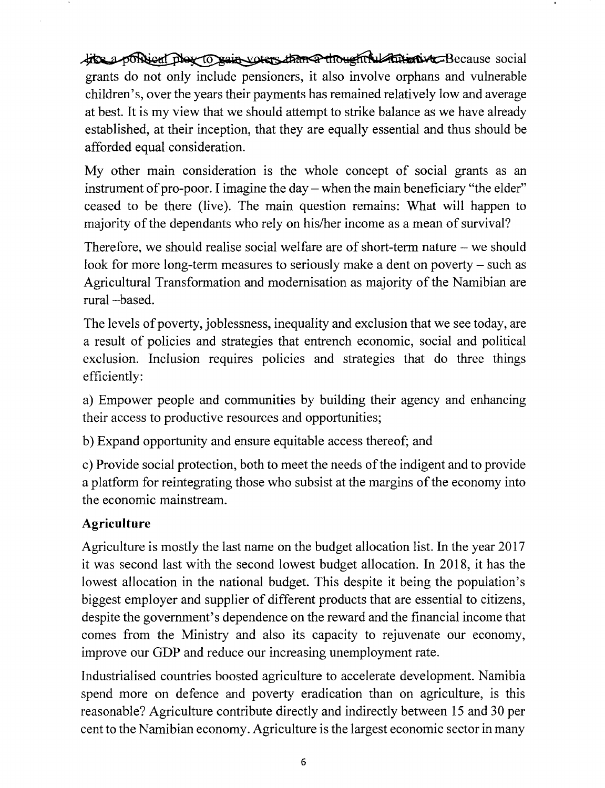like a political play to pain voters than a though ful future we Because social grants do not only include pensioners, it also involve orphans and vulnerable children's, over the years their payments has remained relatively low and average at best. It is my view that we should attempt to strike balance as we have already established, at their inception, that they are equally essential and thus should be afforded equal consideration.

My other main consideration is the whole concept of social grants as an instrument of pro-poor. I imagine the day  $-$  when the main beneficiary "the elder" ceased to be there (live). The main question remains: What will happen to majority of the dependants who rely on his/her income as a mean of survival?

Therefore, we should realise social welfare are of short-term nature - we should look for more long-term measures to seriously make a dent on poverty – such as Agricultural Transformation and modernisation as majority of the Namibian are rural -based.

The levels of poverty, joblessness, inequality and exclusion that we see today, are a result of policies and strategies that entrench economic, social and political exclusion. Inclusion requires policies and strategies that do three things efficiently:

a) Empower people and communities by building their agency and enhancing their access to productive resources and opportunities;

b) Expand opportunity and ensure equitable access thereof; and

c) Provide social protection, both to meet the needs of the indigent and to provide a platform for reintegrating those who subsist at the margins of the economy into the economic mainstream.

# **Agriculture**

Agriculture is mostly the last name on the budget allocation list. In the year 2017 it was second last with the second lowest budget allocation. In 2018, it has the lowest allocation in the national budget. This despite it being the population's biggest employer and supplier of different products that are essential to citizens, despite the government's dependence on the reward and the financial income that comes from the Ministry and also its capacity to rejuvenate our economy, improve our GDP and reduce our increasing unemployment rate.

Industrialised countries boosted agriculture to accelerate development. Namibia spend more on defence and poverty eradication than on agriculture, is this reasonable? Agriculture contribute directly and indirectly between 15 and 30 per cent to the Namibian economy. Agriculture is the largest economic sector in many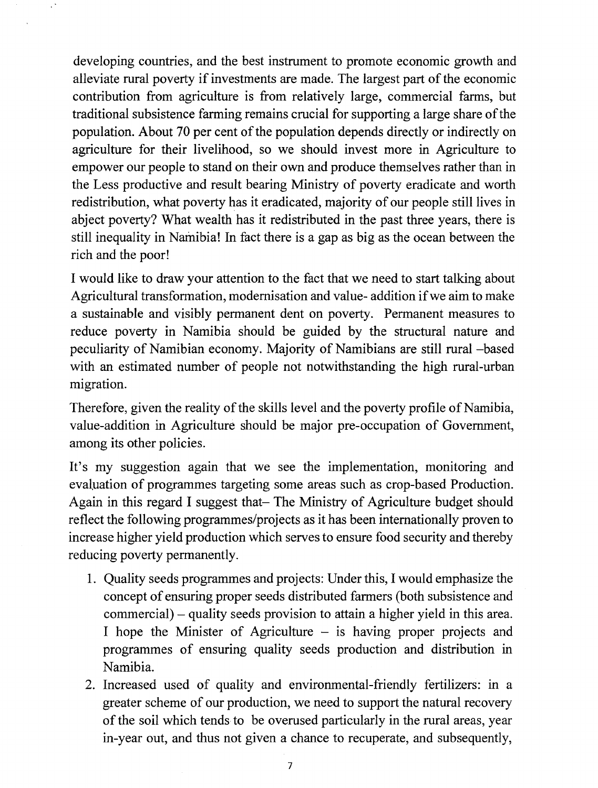developing countries, and the best instrument to promote economic growth and alleviate rural poverty if investments are made. The largest part of the economic contribution from agriculture is from relatively large, commercial farms, but traditional subsistence farming remains crucial for supporting a large share of the population. About 70 per cent of the population depends directly or indirectly on agriculture for their livelihood, so we should invest more in Agriculture to empower our people to stand on their own and produce themselves rather than in the Less productive and result bearing Ministry of poverty eradicate and worth redistribution, what poverty has it eradicated, majority of our people still lives in abject poverty? What wealth has it redistributed in the past three years, there is still inequality in Namibia! In fact there is a gap as big as the ocean between the rich and the poor!

I would like to draw your attention to the fact that we need to start talking about Agricultural transformation, modernisation and value- addition if we aim to make a sustainable and visibly permanent dent on poverty. Permanent measures to reduce poverty in Namibia should be guided by the structural nature and peculiarity of Namibian economy. Majority of Namibians are still rural -based with an estimated number of people not notwithstanding the high rural-urban migration.

Therefore, given the reality of the skills level and the poverty profile of Namibia, value-addition in Agriculture should be major pre-occupation of Government, among its other policies.

It's my suggestion again that we see the implementation, monitoring and evaluation of programmes targeting some areas such as crop-based Production. Again in this regard I suggest that- The Ministry of Agriculture budget should reflect the following programmes/projects as it has been internationally proven to increase higher yield production which serves to ensure food security and thereby reducing poverty permanently.

- 1. Quality seeds programmes and projects: Under this, I would emphasize the concept of ensuring proper seeds distributed farmers (both subsistence and commercial) – quality seeds provision to attain a higher yield in this area. I hope the Minister of Agriculture  $-$  is having proper projects and programmes of ensuring quality seeds production and distribution in Namibia.
- 2. Increased used of quality and environmental-friendly fertilizers: in a greater scheme of our production, we need to support the natural recovery of the soil which tends to be overused particularly in the rural areas, year in-year out, and thus not given a chance to recuperate, and subsequently,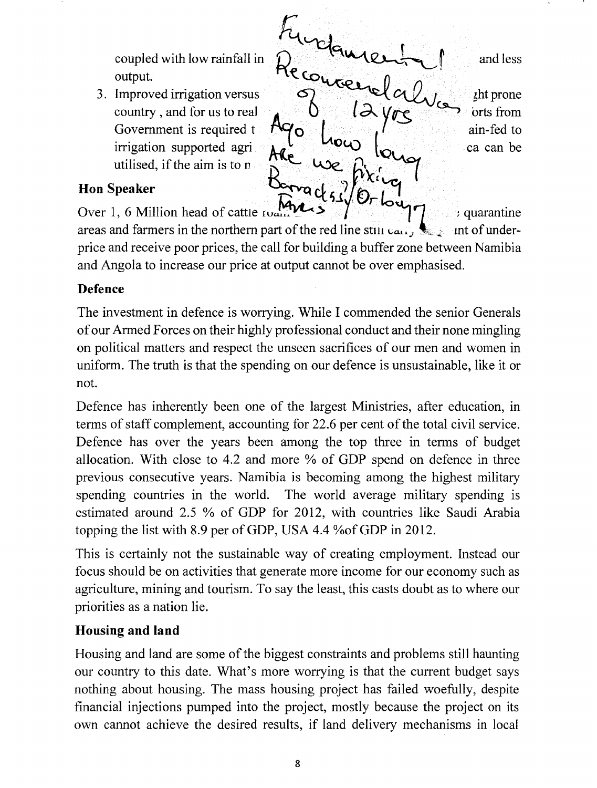utilised, if the aim is to  $n$ 

 ${\cal F}_{\bf u}$ coupled with low rainfall in  $\mathcal{D}$  <sup>equipm</sup> output.  $H\xi \omega_{V\zeta o}$ ,  $n \sim 1$ 3. Improved irrigation versus  $\bigcirc$   $\bigcirc$   $\bigcirc$   $\bigcirc$   $\bigcirc$   $\bigcirc$   $\bigcirc$   $\bigcirc$   $\bigcirc$   $\bigcirc$   $\bigcirc$   $\bigcirc$   $\bigcirc$   $\bigcirc$   $\bigcirc$   $\bigcirc$   $\bigcirc$   $\bigcirc$   $\bigcirc$   $\bigcirc$   $\bigcirc$   $\bigcirc$   $\bigcirc$   $\bigcirc$   $\bigcirc$   $\bigcirc$   $\bigcirc$   $\bigcirc$   $\bigcirc$   $\bigcirc$   $\bigcirc$   $\bigcirc$ country , and for us to rea] **k1...•• •**<sup>D</sup> *<sup>l</sup> <sup>~</sup> yvs* **<..9-,** orts from country, and for us to real  $\begin{bmatrix} 0 & 1 \\ 0 & 1 \end{bmatrix}$   $\begin{bmatrix} 0 & 1 \\ 0 & 1 \end{bmatrix}$  orts from covernment is required t irrigation supported agri  $\mathcal{A}$  **C**  $\mathcal{A}$  **L C** is calcular be and less

## Hon Speaker

Over 1, 6 Million head of cattle  $I_{\text{total}}$   $\sim$   $\sim$   $\sim$   $\sim$   $\sim$   $\sim$  quarantine

areas and farmers in the northern part of the red line still  $ca_i$ , **J** int of underprice and receive poor prices, the call for building a buffer zone between Namibia and Angola to increase our price at output cannot be over emphasised.

## **Defence**

The investment in defence is worrying. While I commended the senior Generals of our Armed Forces on their highly professional conduct and their none mingling on political matters and respect the unseen sacrifices of our men and women in uniform. The truth is that the spending on our defence is unsustainable, like it or not.

Defence has inherently been one of the largest Ministries, after education, in terms of staff complement, accounting for 22.6 per cent of the total civil service. Defence has over the years been among the top three in terms of budget allocation. With close to 4.2 and more % of GDP spend on defence in three previous consecutive years. Namibia is becoming among the highest military spending countries in the world. The world average military spending is estimated around 2.5 % of GDP for 2012, with countries like Saudi Arabia topping the list with 8.9 per of GDP, USA 4.4 % of GDP in 2012.

This is certainly not the sustainable way of creating employment. Instead our focus should be on activities that generate more income for our economy such as agriculture, mining and tourism. To say the least, this casts doubt as to where our priorities as a nation lie.

# **Housing and land**

Housing and land are some of the biggest constraints and problems still haunting our country to this date. What's more worrying is that the current budget says nothing about housing. The mass housing project has failed woefully, despite financial injections pumped into the project, mostly because the project on its own cannot achieve the desired results, if land delivery mechanisms in local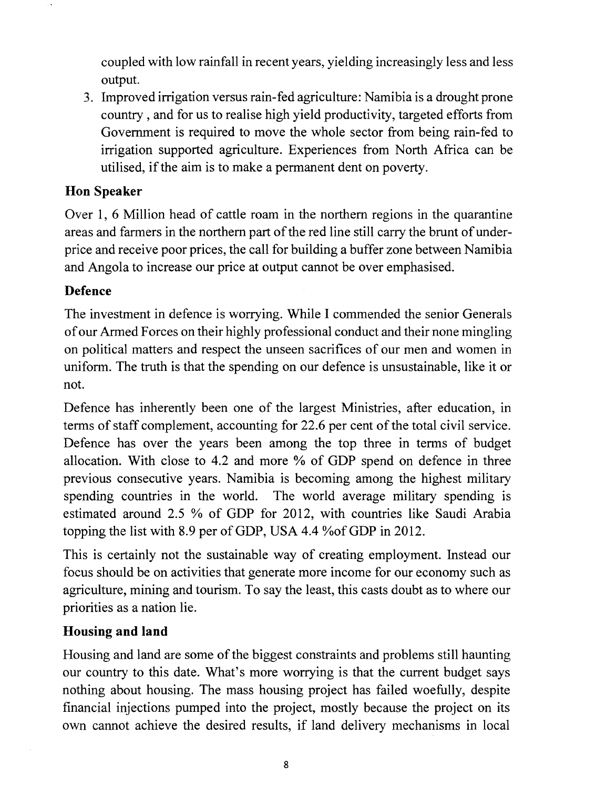coupled with low rainfall in recent years, yielding increasingly less and less output.

3. Improved irrigation versus rain-fed agriculture: Namibia is a drought prone country, and for us to realise high yield productivity, targeted efforts from Government is required to move the whole sector from being rain-fed to irrigation supported agriculture. Experiences from North Africa can be utilised, if the aim is to make a permanent dent on poverty.

### **Hon Speaker**

Over 1, 6 Million head of cattle roam in the northern regions in the quarantine areas and farmers in the northern part of the red line still carry the brunt of underprice and receive poor prices, the call for building a buffer zone between Namibia and Angola to increase our price at output cannot be over emphasised.

# **Defence**

The investment in defence is worrying. While I commended the senior Generals of our Armed Forces on their highly professional conduct and their none mingling on political matters and respect the unseen sacrifices of our men and women in uniform. The truth is that the spending on our defence is unsustainable, like it or not.

Defence has inherently been one of the largest Ministries, after education, in terms of staff complement, accounting for 22.6 per cent of the total civil service. Defence has over the years been among the top three in terms of budget allocation. With close to 4.2 and more % of GDP spend on defence in three previous consecutive years. Namibia is becoming among the highest military spending countries in the world. The world average military spending is estimated around 2.5 % of GDP for 2012, with countries like Saudi Arabia topping the list with 8.9 per of GDP, USA 4.4 % of GDP in 2012.

This is certainly not the sustainable way of creating employment. Instead our focus should be on activities that generate more income for our economy such as agriculture, mining and tourism. To say the least, this casts doubt as to where our priorities as a nation lie.

### **Housing and land**

Housing and land are some of the biggest constraints and problems still haunting our country to this date. What's more worrying is that the current budget says nothing about housing. The mass housing project has failed woefully, despite financial injections pumped into the project, mostly because the project on its own cannot achieve the desired results, if land delivery mechanisms in local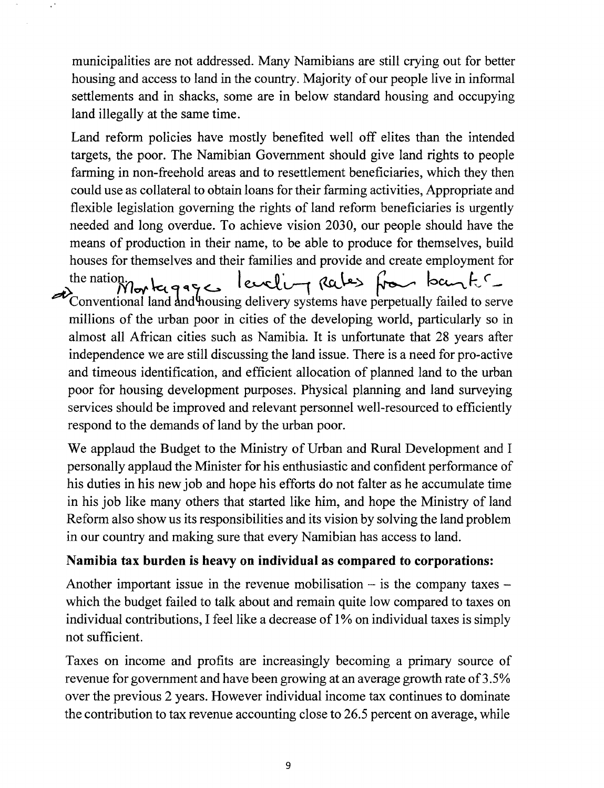municipalities are not addressed. Many Namibians are still crying out for better housing and access to land in the country. Majority of our people live in informal settlements and in shacks, some are in below standard housing and occupying land illegally at the same time.

Land reform policies have mostly benefited well off elites than the intended targets, the poor. The Namibian Government should give land rights to people farming in non-freehold areas and to resettlement beneficiaries, which they then could use as collateral to obtain loans for their farming activities, Appropriate and flexible legislation governing the rights of land reform beneficiaries is urgently needed and long overdue. To achieve vision 2030, our people should have the means of production in their name, to be able to produce for themselves, build houses for themselves and their families and provide and create employment for the nation. How to gaze leveling Rales from bank Conventional land and housing delivery systems have perpetually failed to serve millions of the urban poor in cities of the developing world, particularly so in almost all African cities such as Namibia. It is unfortunate that 28 years after independence we are still discussing the land issue. There is a need for pro-active and timeous identification, and efficient allocation of planned land to the urban poor for housing development purposes. Physical planning and land surveying services should be improved and relevant personnel well-resourced to efficiently respond to the demands of land by the urban poor.

We applaud the Budget to the Ministry of Urban and Rural Development and I personally applaud the Minister for his enthusiastic and confident performance of his duties in his new job and hope his efforts do not falter as he accumulate time in his job like many others that started like him, and hope the Ministry of land Reform also show us its responsibilities and its vision by solving the land problem in our country and making sure that every Namibian has access to land.

#### **Namibia tax burden is heavy on individual as compared to corporations:**

Another important issue in the revenue mobilisation  $-$  is the company taxes  $$ which the budget failed to talk about and remain quite low compared to taxes on individual contributions, I feel like a decrease of 1% on individual taxes is simply not sufficient.

Taxes on income and profits are increasingly becoming a primary source of revenue for government and have been growing at an average growth rate of 3.5% over the previous 2 years. However individual income tax continues to dominate the contribution to tax revenue accounting close to 26.5 percent on average, while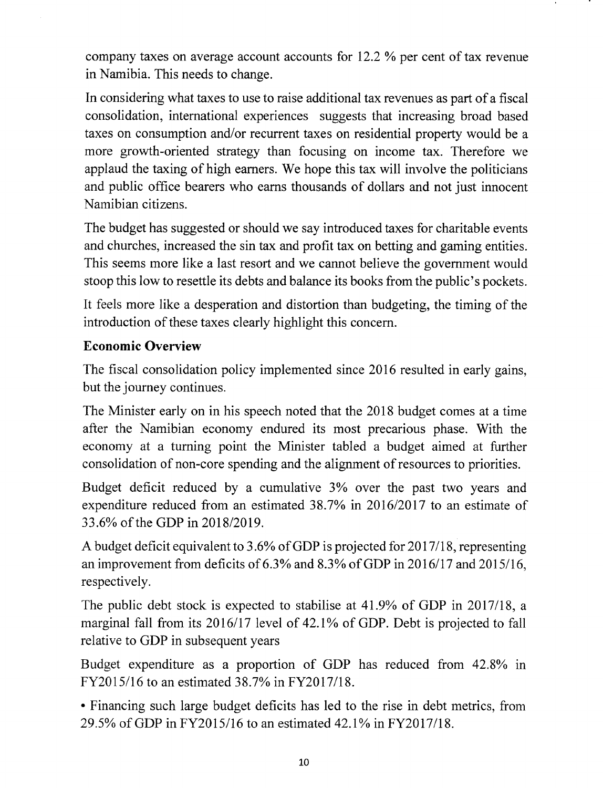company taxes on average account accounts for 12.2 % per cent of tax revenue in Namibia. This needs to change.

In considering what taxes to use to raise additional tax revenues as part of a fiscal consolidation, international experiences suggests that increasing broad based taxes on consumption and/or recurrent taxes on residential property would be a more growth-oriented strategy than focusing on income tax. Therefore we applaud the taxing of high earners. We hope this tax will involve the politicians and public office bearers who earns thousands of dollars and not just innocent Namibian citizens.

The budget has suggested or should we say introduced taxes for charitable events and churches, increased the sin tax and profit tax on betting and gaming entities. This seems more like a last resort and we cannot believe the government would stoop this low to resettle its debts and balance its books from the public's pockets.

It feels more like a desperation and distortion than budgeting, the timing of the introduction of these taxes clearly highlight this concern.

## **Economic Overview**

The fiscal consolidation policy implemented since 2016 resulted in early gains, but the journey continues.

The Minister early on in his speech noted that the 2018 budget comes at a time after the Namibian economy endured its most precarious phase. With the economy at a turning point the Minister tabled a budget aimed at further consolidation of non-core spending and the alignment of resources to priorities.

Budget deficit reduced by a cumulative 3% over the past two years and expenditure reduced from an estimated 38.7% in 2016/2017 to an estimate of 33.6% of the GDP in *201812019.*

A budget deficit equivalent to 3.6% of GDP is projected for 2017/18, representing an improvement from deficits of 6.3% and 8.3% of GDP in 2016/17 and 2015/16, respectively.

The public debt stock is expected to stabilise at 41.9% of GDP in 2017/18, a marginal fall from its 2016/17 level of 42.1% of GDP. Debt is projected to fall relative to GDP in subsequent years

Budget expenditure as a proportion of GDP has reduced from 42.8% in FY20 15/16 to an estimated 38.7% in FY20 17/18.

• Financing such large budget deficits has led to the rise in debt metrics, from 29.5% ofGDP in FY2015/16 to an estimated 42.1 % in FY2017/18.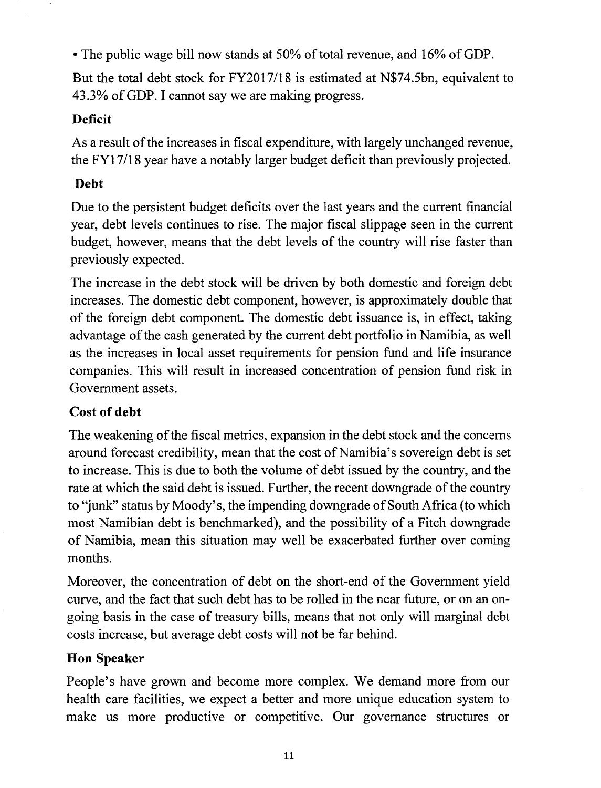• The public wage bill now stands at 50% of total revenue, and 16% of GDP.

But the total debt stock for *FY2017/18* is estimated at N\$74.5bn, equivalent to 43.3% ofGDP. I cannot say we are making progress.

## **Deficit**

As a result of the increases in fiscal expenditure, with largely unchanged revenue, the *FY17/18* year have a notably larger budget deficit than previously projected.

# **Debt**

Due to the persistent budget deficits over the last years and the current financial year, debt levels continues to rise. The major fiscal slippage seen in the current budget, however, means that the debt levels of the country will rise faster than previously expected.

The increase in the debt stock will be driven by both domestic and foreign debt increases. The domestic debt component, however, is approximately double that of the foreign debt component. The domestic debt issuance is, in effect, taking advantage of the cash generated by the current debt portfolio in Namibia, as well as the increases in local asset requirements for pension fund and life insurance companies. This will result in increased concentration of pension fund risk in Government assets.

# **Cost** of debt

The weakening of the fiscal metrics, expansion in the debt stock and the concerns around forecast credibility, mean that the cost of Namibia's sovereign debt is set to increase. This is due to both the volume of debt issued by the country, and the rate at which the said debt is issued. Further, the recent downgrade of the country to "junk" status by Moody's, the impending downgrade of South Africa (to which most Namibian debt is benchmarked), and the possibility of a Fitch downgrade of Namibia, mean this situation may well be exacerbated further over coming months.

Moreover, the concentration of debt on the short-end of the Government yield curve, and the fact that such debt has to be rolled in the near future, or on an ongoing basis in the case of treasury bills, means that not only will marginal debt costs increase, but average debt costs will not be far behind.

# **HOD Speaker**

People's have grown and become more complex. We demand more from our health care facilities, we expect a better and more unique education system to make us more productive or competitive. Our governance structures or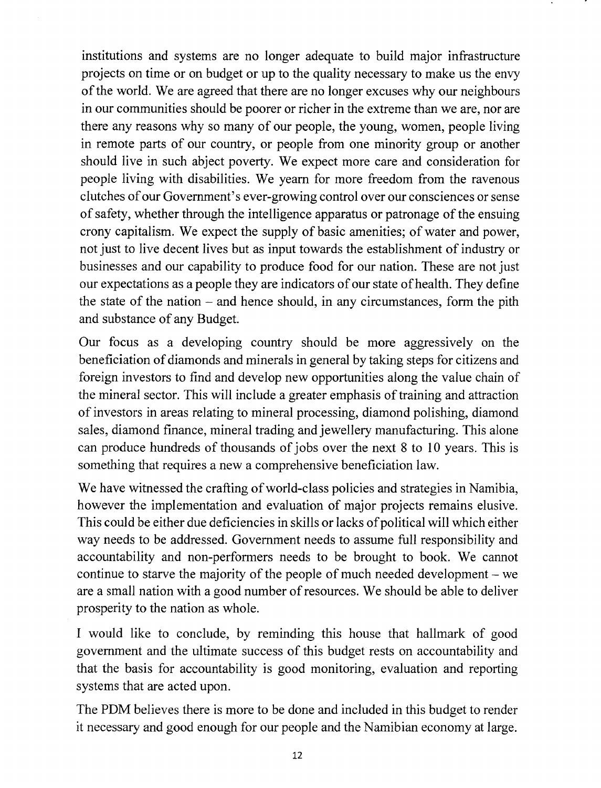institutions and systems are no longer adequate to build major infrastructure projects on time or on budget or up to the quality necessary to make us the envy of the world. We are agreed that there are no longer excuses why our neighbours in our communities should be poorer or richer in the extreme than we are, nor are there any reasons why so many of our people, the young, women, people living in remote parts of our country, or people from one minority group or another should live in such abject poverty. We expect more care and consideration for people living with disabilities. We yearn for more freedom from the ravenous clutches of our Government's ever-growing control over our consciences or sense of safety, whether through the intelligence apparatus or patronage of the ensuing crony capitalism. We expect the supply of basic amenities; of water and power, not just to live decent lives but as input towards the establishment of industry or businesses and our capability to produce food for our nation. These are not just our expectations as a people they are indicators of our state of health. They define the state of the nation  $-$  and hence should, in any circumstances, form the pith and substance of any Budget.

Our focus as a developing country should be more aggressively on the beneficiation of diamonds and minerals in general by taking steps for citizens and foreign investors to find and develop new opportunities along the value chain of the mineral sector. This will include a greater emphasis of training and attraction of investors in areas relating to mineral processing, diamond polishing, diamond sales, diamond finance, mineral trading and jewellery manufacturing. This alone can produce hundreds of thousands of jobs over the next 8 to 10 years. This is something that requires a new a comprehensive beneficiation law.

We have witnessed the crafting of world-class policies and strategies in Namibia, however the implementation and evaluation of major projects remains elusive. This could be either due deficiencies in skills or lacks of political will which either way needs to be addressed. Government needs to assume full responsibility and accountability and non-performers needs to be brought to book. We cannot continue to starve the majority of the people of much needed development  $-$  we are a small nation with a good number of resources. We should be able to deliver prosperity to the nation as whole.

I would like to conclude, by reminding this house that hallmark of good government and the ultimate success of this budget rests on accountability and that the basis for accountability is good monitoring, evaluation and reporting systems that are acted upon.

The PDM believes there is more to be done and included in this budget to render it necessary and good enough for our people and the Namibian economy at large.